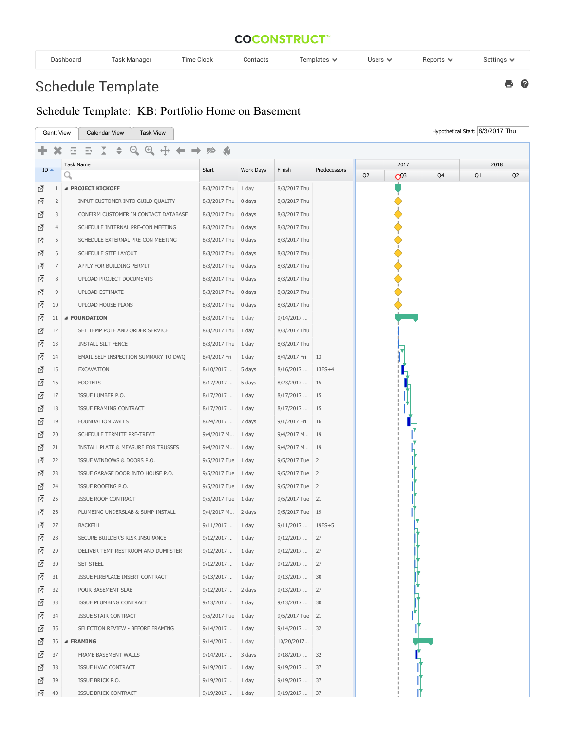## **COCONSTRUCT**<sup>\*\*</sup>

| Dashboard | Task Manager | Time Clock | Contacts | Templates $\blacktriangleright$ | Users $\vee$ | Reports $\vee$ | Settings $\mathbf{\mathsf{v}}$ |
|-----------|--------------|------------|----------|---------------------------------|--------------|----------------|--------------------------------|
|-----------|--------------|------------|----------|---------------------------------|--------------|----------------|--------------------------------|

8 Q

## Schedule Template

## Schedule Template: KB: Portfolio Home on Basement

|   | <b>Gantt View</b> | <b>Task View</b><br><b>Calendar View</b> |                               |                |                 |              |                |                |    | Hypothetical Start: 8/3/2017 Thu |                |
|---|-------------------|------------------------------------------|-------------------------------|----------------|-----------------|--------------|----------------|----------------|----|----------------------------------|----------------|
|   |                   | Q.<br>$\bigoplus$<br>률<br>귤              | <b>SG</b><br>75               |                |                 |              |                |                |    |                                  |                |
|   |                   | Task Name                                |                               |                |                 |              |                | 2017           |    |                                  | 2018           |
|   | $ID -$            | Q                                        | Start                         | Work Days      | Finish          | Predecessors | Q <sub>2</sub> | Q <sup>2</sup> | Q4 | Q1                               | Q <sub>2</sub> |
| 囨 | $\mathbf{1}$      | <b>4 PROJECT KICKOFF</b>                 | 8/3/2017 Thu                  | $1$ day        | 8/3/2017 Thu    |              |                |                |    |                                  |                |
| 囨 | $\overline{2}$    | INPUT CUSTOMER INTO GUILD QUALITY        | 8/3/2017 Thu   0 days         |                | 8/3/2017 Thu    |              |                |                |    |                                  |                |
| 囨 | 3                 | CONFIRM CUSTOMER IN CONTACT DATABASE     | 8/3/2017 Thu   0 days         |                | 8/3/2017 Thu    |              |                |                |    |                                  |                |
| ᇈ | $\overline{4}$    | SCHEDULE INTERNAL PRE-CON MEETING        | 8/3/2017 Thu                  | $\vert$ 0 days | 8/3/2017 Thu    |              |                |                |    |                                  |                |
| 囨 | 5                 | SCHEDULE EXTERNAL PRE-CON MEETING        | 8/3/2017 Thu                  | 0 days         | 8/3/2017 Thu    |              |                |                |    |                                  |                |
| ᇈ | 6                 | SCHEDULE SITE LAYOUT                     | 8/3/2017 Thu   0 days         |                | 8/3/2017 Thu    |              |                |                |    |                                  |                |
| 囨 | $\overline{7}$    | APPLY FOR BUILDING PERMIT                | 8/3/2017 Thu                  | 0 days         | 8/3/2017 Thu    |              |                |                |    |                                  |                |
| 囨 | $\,8\,$           | UPLOAD PROJECT DOCUMENTS                 | 8/3/2017 Thu                  | $\vert$ 0 days | 8/3/2017 Thu    |              |                |                |    |                                  |                |
| 囨 | $\overline{9}$    | UPLOAD ESTIMATE                          | $8/3/2017$ Thu $\vert$ 0 days |                | 8/3/2017 Thu    |              |                |                |    |                                  |                |
| 囨 | 10                | UPLOAD HOUSE PLANS                       | 8/3/2017 Thu                  | $\vert$ 0 days | 8/3/2017 Thu    |              |                |                |    |                                  |                |
| 囨 | 11                | ▲ FOUNDATION                             | 8/3/2017 Thu                  | $\vert$ 1 day  | 9/14/2017       |              |                |                |    |                                  |                |
| 囨 | 12                | SET TEMP POLE AND ORDER SERVICE          | 8/3/2017 Thu   1 day          |                | 8/3/2017 Thu    |              |                |                |    |                                  |                |
| 囨 | 13                | <b>INSTALL SILT FENCE</b>                | 8/3/2017 Thu                  | $ 1$ day       | 8/3/2017 Thu    |              |                |                |    |                                  |                |
| 囨 | 14                | EMAIL SELF INSPECTION SUMMARY TO DWQ     | 8/4/2017 Fri                  | 1 day          | 8/4/2017 Fri    | 13           |                |                |    |                                  |                |
| 囨 | 15                | EXCAVATION                               | 8/10/2017                     | 5 days         | 8/16/2017       | $13FS+4$     |                |                |    |                                  |                |
| 囨 | 16                | <b>FOOTERS</b>                           | 8/17/2017                     | 5 days         | 8/23/2017       | 15           |                |                |    |                                  |                |
| 囨 | 17                | ISSUE LUMBER P.O.                        | 8/17/2017                     | 1 day          | 8/17/2017       | 15           |                |                |    |                                  |                |
| 囨 | 18                | ISSUE FRAMING CONTRACT                   | 8/17/2017                     | 1 day          | 8/17/2017       | 15           |                |                |    |                                  |                |
| ₫ | 19                | FOUNDATION WALLS                         | 8/24/2017                     | 7 days         | 9/1/2017 Fri    | 16           |                |                |    |                                  |                |
| 囨 | 20                | SCHEDULE TERMITE PRE-TREAT               | 9/4/2017 M                    | 1 day          | 9/4/2017 M      | 19           |                |                |    |                                  |                |
| 囨 | 21                | INSTALL PLATE & MEASURE FOR TRUSSES      | 9/4/2017 M                    | $ 1$ day       | 9/4/2017 M      | 19           |                |                |    |                                  |                |
| ₫ | 22                | ISSUE WINDOWS & DOORS P.O.               | 9/5/2017 Tue                  | $ 1$ day       | 9/5/2017 Tue 21 |              |                |                |    |                                  |                |
| 囨 | 23                | ISSUE GARAGE DOOR INTO HOUSE P.O.        | 9/5/2017 Tue                  | $\vert$ 1 day  | 9/5/2017 Tue 21 |              |                |                |    |                                  |                |
| 囨 | 24                | ISSUE ROOFING P.O.                       | $9/5/2017$ Tue   1 day        |                | 9/5/2017 Tue 21 |              |                |                |    |                                  |                |
| 囨 | 25                | ISSUE ROOF CONTRACT                      | $9/5/2017$ Tue   1 day        |                | 9/5/2017 Tue 21 |              |                |                |    |                                  |                |
| 囨 | 26                | PLUMBING UNDERSLAB & SUMP INSTALL        | 9/4/2017 M                    | 2 days         | 9/5/2017 Tue 19 |              |                |                |    |                                  |                |
| 囨 | 27                | <b>BACKFILL</b>                          | 9/11/2017                     | 1 day          | 9/11/2017       | $19FS+5$     |                |                |    |                                  |                |
| ₫ | 28                | SECURE BUILDER'S RISK INSURANCE          | 9/12/2017                     | 1 day          | 9/12/2017       | 27           |                |                |    |                                  |                |
| 囨 | 29                | DELIVER TEMP RESTROOM AND DUMPSTER       | 9/12/2017                     | 1 day          | 9/12/2017       | 27           |                |                |    |                                  |                |
| 囨 | 30                | <b>SET STEEL</b>                         | 9/12/2017                     | 1 day          | 9/12/2017       | 27           |                |                |    |                                  |                |
| 囨 | 31                | ISSUE FIREPLACE INSERT CONTRACT          | 9/13/2017                     | 1 day          | 9/13/2017       | 30           |                |                |    |                                  |                |
| 囨 | 32                | POUR BASEMENT SLAB                       | 9/12/2017                     | 2 days         | 9/13/2017       | 27           |                |                |    |                                  |                |
| 囨 | 33                | ISSUE PLUMBING CONTRACT                  | 9/13/2017                     | 1 day          | 9/13/2017       | 30           |                |                |    |                                  |                |
| 囨 | 34                | ISSUE STAIR CONTRACT                     | 9/5/2017 Tue                  | $\vert$ 1 day  | 9/5/2017 Tue 21 |              |                |                |    |                                  |                |
| ⊡ | 35                | SELECTION REVIEW - BEFORE FRAMING        | 9/14/2017                     | 1 day          | 9/14/2017       | 32           |                |                |    |                                  |                |
| 囨 | 36                | ⊿ FRAMING                                | 9/14/2017                     | 1 day          | 10/20/2017      |              |                |                |    |                                  |                |
| 囨 | 37                | FRAME BASEMENT WALLS                     | 9/14/2017                     | 3 days         | 9/18/2017       | 32           |                |                |    |                                  |                |
| 囨 | 38                | ISSUE HVAC CONTRACT                      | 9/19/2017                     | 1 day          | 9/19/2017       | 37           |                |                |    |                                  |                |
| 囨 | 39                | ISSUE BRICK P.O.                         | 9/19/2017                     | 1 day          | 9/19/2017       | 37           |                |                |    |                                  |                |
| 囨 | 40                | ISSUE BRICK CONTRACT                     | $9/19/2017$ 1 day             |                | $9/19/2017$ 37  |              |                |                |    |                                  |                |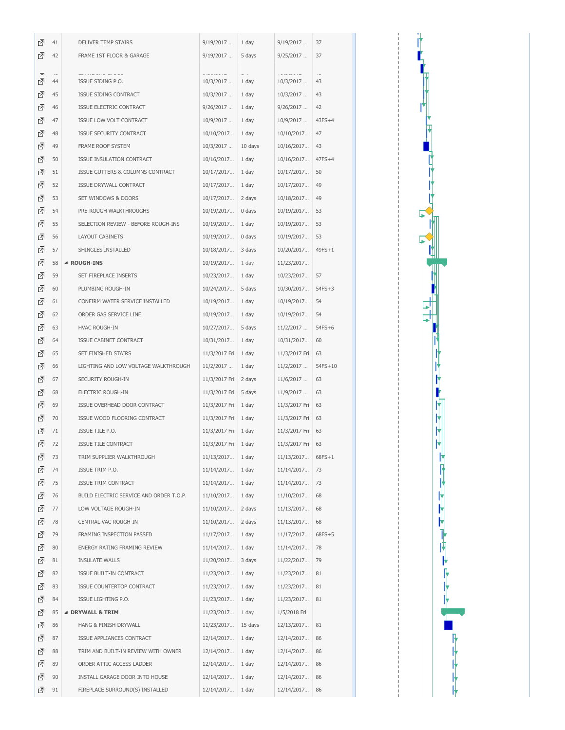| 덴 | 41 | <b>DELIVER TEMP STAIRS</b>              | 9/19/2017     | 1 day   | 9/19/2017     | 37       |
|---|----|-----------------------------------------|---------------|---------|---------------|----------|
| ᇗ | 42 | FRAME 1ST FLOOR & GARAGE                | 9/19/2017     | 5 days  | $9/25/2017$   | 37       |
|   |    |                                         |               |         |               |          |
| 덴 | 44 | ISSUE SIDING P.O.                       | 10/3/2017     | 1 day   | 10/3/2017     | 43       |
| 囨 | 45 | ISSUE SIDING CONTRACT                   | $10/3/2017$   | 1 day   | 10/3/2017     | 43       |
| 囨 | 46 | ISSUE ELECTRIC CONTRACT                 | 9/26/2017     | 1 day   | 9/26/2017     | 42       |
| ₫ | 47 | ISSUE LOW VOLT CONTRACT                 | 10/9/2017     | 1 day   | 10/9/2017     | $43FS+4$ |
| 囨 | 48 | ISSUE SECURITY CONTRACT                 | 10/10/2017    | 1 day   | 10/10/2017    | 47       |
| 囨 | 49 | FRAME ROOF SYSTEM                       | 10/3/2017     | 10 days | 10/16/2017    | 43       |
| 囨 | 50 | ISSUE INSULATION CONTRACT               | 10/16/2017    | 1 day   | 10/16/2017    | $47FS+4$ |
| 囨 | 51 | ISSUE GUTTERS & COLUMNS CONTRACT        | 10/17/2017    | 1 day   | 10/17/2017    | 50       |
| 囨 | 52 | ISSUE DRYWALL CONTRACT                  | 10/17/2017    | 1 day   | 10/17/2017    | 49       |
| 囨 | 53 | SET WINDOWS & DOORS                     | 10/17/2017    | 2 days  | 10/18/2017    | 49       |
| 囨 | 54 | PRE-ROUGH WALKTHROUGHS                  | 10/19/2017    | 0 days  | 10/19/2017    | 53       |
| 囨 | 55 | SELECTION REVIEW - BEFORE ROUGH-INS     | 10/19/2017    | 1 day   | 10/19/2017    | 53       |
| 囨 | 56 | LAYOUT CABINETS                         | 10/19/2017    | 0 days  | 10/19/2017    | 53       |
| 囨 | 57 | SHINGLES INSTALLED                      | 10/18/2017    | 3 days  | 10/20/2017    | $49FS+1$ |
| ₫ | 58 | ⊿ ROUGH-INS                             | 10/19/2017    | 1 day   | 11/23/2017    |          |
| 囨 | 59 | SET FIREPLACE INSERTS                   | 10/23/2017    | 1 day   | 10/23/2017    | 57       |
| 囨 | 60 | PLUMBING ROUGH-IN                       | 10/24/2017    | 5 days  | 10/30/2017    | $54FS+3$ |
| 囨 | 61 | CONFIRM WATER SERVICE INSTALLED         | 10/19/2017    | 1 day   | 10/19/2017    | 54       |
| 囨 | 62 | ORDER GAS SERVICE LINE                  | 10/19/2017    | 1 day   | 10/19/2017    | 54       |
| 囨 | 63 | HVAC ROUGH-IN                           | 10/27/2017    | 5 days  | 11/2/2017     | $54FS+6$ |
| 囨 | 64 | ISSUE CABINET CONTRACT                  | 10/31/2017    | 1 day   | 10/31/2017    | 60       |
| 囨 | 65 | SET FINISHED STAIRS                     | 11/3/2017 Fri | 1 day   | 11/3/2017 Fri | 63       |
| 囨 | 66 | LIGHTING AND LOW VOLTAGE WALKTHROUGH    | 11/2/2017     | 1 day   | 11/2/2017     | 54FS+10  |
| 囨 | 67 | SECURITY ROUGH-IN                       | 11/3/2017 Fri | 2 days  | 11/6/2017     | 63       |
| 囨 | 68 | ELECTRIC ROUGH-IN                       | 11/3/2017 Fri | 5 days  | 11/9/2017     | 63       |
| ₫ | 69 | ISSUE OVERHEAD DOOR CONTRACT            | 11/3/2017 Fri | 1 day   | 11/3/2017 Fri | 63       |
| 囨 | 70 | ISSUE WOOD FLOORING CONTRACT            | 11/3/2017 Fri | 1 day   | 11/3/2017 Fri | 63       |
| 囨 | 71 | ISSUE TILE P.O.                         | 11/3/2017 Fri | 1 day   | 11/3/2017 Fri | 63       |
| ⊡ | 72 | <b>ISSUE TILE CONTRACT</b>              | 11/3/2017 Fri | 1 day   | 11/3/2017 Fri | 63       |
| 囨 | 73 | TRIM SUPPLIER WALKTHROUGH               | 11/13/2017    | 1 day   | 11/13/2017    | $68FS+1$ |
| ₫ | 74 | ISSUE TRIM P.O.                         | 11/14/2017    | 1 day   | 11/14/2017    | 73       |
| ₫ | 75 | ISSUE TRIM CONTRACT                     | 11/14/2017    | 1 day   | 11/14/2017    | 73       |
| ₫ | 76 | BUILD ELECTRIC SERVICE AND ORDER T.O.P. | 11/10/2017    | 1 day   | 11/10/2017    | 68       |
| ₫ | 77 | LOW VOLTAGE ROUGH-IN                    | 11/10/2017    | 2 days  | 11/13/2017    | 68       |
| ₫ | 78 | CENTRAL VAC ROUGH-IN                    | 11/10/2017    | 2 days  | 11/13/2017    | 68       |
| 囨 | 79 | FRAMING INSPECTION PASSED               | 11/17/2017    | 1 day   | 11/17/2017    | $68FS+5$ |
| ₫ | 80 | ENERGY RATING FRAMING REVIEW            | 11/14/2017    | 1 day   | 11/14/2017    | 78       |
| 囨 | 81 | <b>INSULATE WALLS</b>                   | 11/20/2017    | 3 days  | 11/22/2017    | 79       |
| ₫ | 82 | ISSUE BUILT-IN CONTRACT                 | 11/23/2017    | 1 day   | 11/23/2017    | 81       |
| 囨 | 83 | ISSUE COUNTERTOP CONTRACT               | 11/23/2017    | 1 day   | 11/23/2017    | 81       |
| ⊡ | 84 | ISSUE LIGHTING P.O.                     | 11/23/2017    | 1 day   | 11/23/2017    | 81       |
| ₫ | 85 | <b>4 DRYWALL &amp; TRIM</b>             | 11/23/2017    | 1 day   | 1/5/2018 Fri  |          |
| ⊡ | 86 | HANG & FINISH DRYWALL                   | 11/23/2017    | 15 days | 12/13/2017    | 81       |
| 囨 | 87 | ISSUE APPLIANCES CONTRACT               | 12/14/2017    | 1 day   | 12/14/2017    | 86       |
| ₫ | 88 | TRIM AND BUILT-IN REVIEW WITH OWNER     | 12/14/2017    | 1 day   | 12/14/2017    | 86       |
| ₫ | 89 | ORDER ATTIC ACCESS LADDER               | 12/14/2017    | 1 day   | 12/14/2017    | 86       |
| 囨 | 90 | INSTALL GARAGE DOOR INTO HOUSE          | 12/14/2017    | 1 day   | 12/14/2017    | 86       |
| ₫ | 91 | FIREPLACE SURROUND(S) INSTALLED         | 12/14/2017    | 1 day   | 12/14/2017    | 86       |

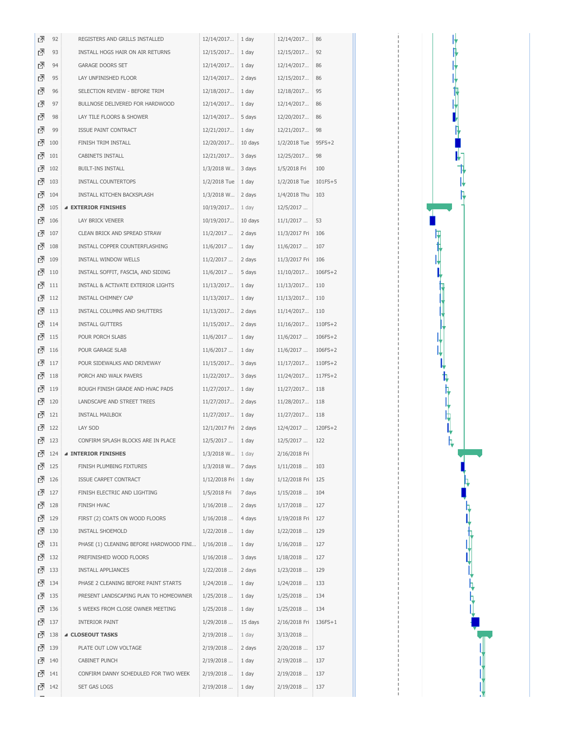| ₫<br>93<br>1 day<br>92<br>INSTALL HOGS HAIR ON AIR RETURNS<br>12/15/2017<br>12/15/2017<br>₫<br>94<br><b>GARAGE DOORS SET</b><br>1 day<br>86<br>12/14/2017<br>12/14/2017<br>囨<br>95<br>LAY UNFINISHED FLOOR<br>12/14/2017<br>2 days<br>12/15/2017<br>86<br>囨<br>95<br>96<br>SELECTION REVIEW - BEFORE TRIM<br>12/18/2017<br>1 day<br>12/18/2017<br>₫<br>97<br>BULLNOSE DELIVERED FOR HARDWOOD<br>12/14/2017<br>1 day<br>12/14/2017<br>86<br>囨<br>98<br>LAY TILE FLOORS & SHOWER<br>12/14/2017<br>5 days<br>12/20/2017<br>86<br>囨<br>99<br>98<br>ISSUE PAINT CONTRACT<br>12/21/2017<br>1 day<br>12/21/2017<br>囨<br>100<br>FINISH TRIM INSTALL<br>12/20/2017<br>10 days<br>1/2/2018 Tue<br>$95FS+2$<br>囨<br>101<br>CABINETS INSTALL<br>12/21/2017<br>3 days<br>12/25/2017<br>98<br>囨<br>102<br><b>BUILT-INS INSTALL</b><br>3 days<br>100<br>1/3/2018 W<br>1/5/2018 Fri<br>rā<br>103<br>INSTALL COUNTERTOPS<br>1/2/2018 Tue<br>1 day<br>1/2/2018 Tue<br>101FS+5<br>囨<br>104<br>INSTALL KITCHEN BACKSPLASH<br>1/3/2018 W<br>2 days<br>1/4/2018 Thu<br>103<br>囨<br>105<br><b>4 EXTERIOR FINISHES</b><br>10/19/2017<br>1 day<br>12/5/2017<br>囨<br>106<br>LAY BRICK VENEER<br>10/19/2017<br>10 days<br>11/1/2017<br>53<br>囨<br>107<br>CLEAN BRICK AND SPREAD STRAW<br>11/2/2017<br>2 days<br>11/3/2017 Fri<br>106<br>囨<br>108<br>INSTALL COPPER COUNTERFLASHING<br>11/6/2017<br>1 day<br>11/6/2017<br>107<br>囨<br>109<br>INSTALL WINDOW WELLS<br>11/2/2017<br>2 days<br>11/3/2017 Fri<br>106<br>囨<br>110<br>INSTALL SOFFIT, FASCIA, AND SIDING<br>11/6/2017<br>5 days<br>11/10/2017<br>106FS+2<br>囨<br><b>INSTALL &amp; ACTIVATE EXTERIOR LIGHTS</b><br>11/13/2017<br>1 day<br>11/13/2017<br>110<br>111<br>囨<br>112<br>INSTALL CHIMNEY CAP<br>11/13/2017<br>1 day<br>11/13/2017<br>110<br>囨<br>113<br>INSTALL COLUMNS AND SHUTTERS<br>2 days<br>11/13/2017<br>11/14/2017<br>110<br>囨<br>114<br><b>INSTALL GUTTERS</b><br>11/15/2017<br>2 days<br>11/16/2017<br>110FS+2<br>囨<br>115<br>POUR PORCH SLABS<br>11/6/2017<br>1 day<br>11/6/2017<br>106FS+2<br>囨<br>116<br>POUR GARAGE SLAB<br>11/6/2017<br>1 day<br>11/6/2017<br>106FS+2<br>囨<br>117<br>POUR SIDEWALKS AND DRIVEWAY<br>11/15/2017<br>3 days<br>11/17/2017<br>110FS+2<br>囨<br>118<br>PORCH AND WALK PAVERS<br>11/22/2017<br>3 days<br>11/24/2017<br>117FS+2<br>囨<br>119<br>ROUGH FINISH GRADE AND HVAC PADS<br>1 day<br>11/27/2017<br>11/27/2017<br>118<br>囨<br>120<br>LANDSCAPE AND STREET TREES<br>11/27/2017<br>2 days<br>11/28/2017<br>118<br>囨<br>121<br><b>INSTALL MAILBOX</b><br>11/27/2017<br>1 day<br>11/27/2017<br>118<br>立<br>122<br>LAY SOD<br>12/1/2017 Fri<br>2 days<br>12/4/2017<br>120FS+2<br>囨<br>123<br>CONFIRM SPLASH BLOCKS ARE IN PLACE<br>12/5/2017<br>1 day<br>12/5/2017<br>122<br>인<br>124<br><b>4 INTERIOR FINISHES</b><br>1/3/2018 W<br>1 day<br>2/16/2018 Fri<br>羽<br>125<br>7 days<br>FINISH PLUMBING FIXTURES<br>1/3/2018 W<br>1/11/2018<br>103<br>⊡<br>126<br>ISSUE CARPET CONTRACT<br>1/12/2018 Fri<br>1 day<br>1/12/2018 Fri<br>125<br>囨<br>127<br>FINISH ELECTRIC AND LIGHTING<br>1/5/2018 Fri<br>7 days<br>1/15/2018<br>104<br>囨<br>128<br>FINISH HVAC<br>1/16/2018<br>2 days<br>1/17/2018<br>127<br>囨<br>129<br>FIRST (2) COATS ON WOOD FLOORS<br>1/16/2018<br>4 days<br>1/19/2018 Fri<br>127<br>⊡<br>130<br>INSTALL SHOEMOLD<br>1/22/2018<br>$1$ day<br>1/22/2018<br>129<br>囨<br>131<br>PHASE (1) CLEANING BEFORE HARDWOOD FINI<br>1/16/2018<br>1 day<br>1/16/2018<br>127<br>₫<br>132<br>PREFINISHED WOOD FLOORS<br>1/16/2018<br>3 days<br>1/18/2018<br>127<br>囨<br>133<br>INSTALL APPLIANCES<br>1/22/2018<br>2 days<br>129<br>1/23/2018<br>囨<br>134<br>PHASE 2 CLEANING BEFORE PAINT STARTS<br>1/24/2018<br>1 day<br>1/24/2018<br>133<br>₫<br>135<br>PRESENT LANDSCAPING PLAN TO HOMEOWNER<br>1/25/2018<br>1 day<br>1/25/2018<br>134<br>囨<br>136<br>5 WEEKS FROM CLOSE OWNER MEETING<br>1/25/2018<br>1 day<br>$1/25/2018$<br>134<br>₫<br>137<br><b>INTERIOR PAINT</b><br>1/29/2018<br>15 days<br>2/16/2018 Fri<br>136FS+1<br>⊡<br>138<br>▲ CLOSEOUT TASKS<br>2/19/2018<br>1 day<br>$3/13/2018$<br>囨<br>139<br>PLATE OUT LOW VOLTAGE<br>2/19/2018<br>2 days<br>2/20/2018<br>137<br>囨<br>140<br>CABINET PUNCH<br>2/19/2018<br>1 day<br>2/19/2018<br>137<br>囨<br>141<br>CONFIRM DANNY SCHEDULED FOR TWO WEEK<br>2/19/2018<br>1 day<br>2/19/2018<br>137<br>囨<br>142<br>SET GAS LOGS<br>2/19/2018<br>1 day<br>2/19/2018<br>137 | ₫ | 92 | REGISTERS AND GRILLS INSTALLED | 12/14/2017 | 1 day | 12/14/2017 | 86 |
|-----------------------------------------------------------------------------------------------------------------------------------------------------------------------------------------------------------------------------------------------------------------------------------------------------------------------------------------------------------------------------------------------------------------------------------------------------------------------------------------------------------------------------------------------------------------------------------------------------------------------------------------------------------------------------------------------------------------------------------------------------------------------------------------------------------------------------------------------------------------------------------------------------------------------------------------------------------------------------------------------------------------------------------------------------------------------------------------------------------------------------------------------------------------------------------------------------------------------------------------------------------------------------------------------------------------------------------------------------------------------------------------------------------------------------------------------------------------------------------------------------------------------------------------------------------------------------------------------------------------------------------------------------------------------------------------------------------------------------------------------------------------------------------------------------------------------------------------------------------------------------------------------------------------------------------------------------------------------------------------------------------------------------------------------------------------------------------------------------------------------------------------------------------------------------------------------------------------------------------------------------------------------------------------------------------------------------------------------------------------------------------------------------------------------------------------------------------------------------------------------------------------------------------------------------------------------------------------------------------------------------------------------------------------------------------------------------------------------------------------------------------------------------------------------------------------------------------------------------------------------------------------------------------------------------------------------------------------------------------------------------------------------------------------------------------------------------------------------------------------------------------------------------------------------------------------------------------------------------------------------------------------------------------------------------------------------------------------------------------------------------------------------------------------------------------------------------------------------------------------------------------------------------------------------------------------------------------------------------------------------------------------------------------------------------------------------------------------------------------------------------------------------------------------------------------------------------------------------------------------------------------------------------------------------------------------------------------------------------------------------------------------------------------------------------------------------------------------------------------------------------------------------------------------------------------------------------------------------------------------------------------------------------------------------------------------------------------------------------------------------------------------------------------------|---|----|--------------------------------|------------|-------|------------|----|
|                                                                                                                                                                                                                                                                                                                                                                                                                                                                                                                                                                                                                                                                                                                                                                                                                                                                                                                                                                                                                                                                                                                                                                                                                                                                                                                                                                                                                                                                                                                                                                                                                                                                                                                                                                                                                                                                                                                                                                                                                                                                                                                                                                                                                                                                                                                                                                                                                                                                                                                                                                                                                                                                                                                                                                                                                                                                                                                                                                                                                                                                                                                                                                                                                                                                                                                                                                                                                                                                                                                                                                                                                                                                                                                                                                                                                                                                                                                                                                                                                                                                                                                                                                                                                                                                                                                                                                                                                 |   |    |                                |            |       |            |    |
|                                                                                                                                                                                                                                                                                                                                                                                                                                                                                                                                                                                                                                                                                                                                                                                                                                                                                                                                                                                                                                                                                                                                                                                                                                                                                                                                                                                                                                                                                                                                                                                                                                                                                                                                                                                                                                                                                                                                                                                                                                                                                                                                                                                                                                                                                                                                                                                                                                                                                                                                                                                                                                                                                                                                                                                                                                                                                                                                                                                                                                                                                                                                                                                                                                                                                                                                                                                                                                                                                                                                                                                                                                                                                                                                                                                                                                                                                                                                                                                                                                                                                                                                                                                                                                                                                                                                                                                                                 |   |    |                                |            |       |            |    |
|                                                                                                                                                                                                                                                                                                                                                                                                                                                                                                                                                                                                                                                                                                                                                                                                                                                                                                                                                                                                                                                                                                                                                                                                                                                                                                                                                                                                                                                                                                                                                                                                                                                                                                                                                                                                                                                                                                                                                                                                                                                                                                                                                                                                                                                                                                                                                                                                                                                                                                                                                                                                                                                                                                                                                                                                                                                                                                                                                                                                                                                                                                                                                                                                                                                                                                                                                                                                                                                                                                                                                                                                                                                                                                                                                                                                                                                                                                                                                                                                                                                                                                                                                                                                                                                                                                                                                                                                                 |   |    |                                |            |       |            |    |
|                                                                                                                                                                                                                                                                                                                                                                                                                                                                                                                                                                                                                                                                                                                                                                                                                                                                                                                                                                                                                                                                                                                                                                                                                                                                                                                                                                                                                                                                                                                                                                                                                                                                                                                                                                                                                                                                                                                                                                                                                                                                                                                                                                                                                                                                                                                                                                                                                                                                                                                                                                                                                                                                                                                                                                                                                                                                                                                                                                                                                                                                                                                                                                                                                                                                                                                                                                                                                                                                                                                                                                                                                                                                                                                                                                                                                                                                                                                                                                                                                                                                                                                                                                                                                                                                                                                                                                                                                 |   |    |                                |            |       |            |    |
|                                                                                                                                                                                                                                                                                                                                                                                                                                                                                                                                                                                                                                                                                                                                                                                                                                                                                                                                                                                                                                                                                                                                                                                                                                                                                                                                                                                                                                                                                                                                                                                                                                                                                                                                                                                                                                                                                                                                                                                                                                                                                                                                                                                                                                                                                                                                                                                                                                                                                                                                                                                                                                                                                                                                                                                                                                                                                                                                                                                                                                                                                                                                                                                                                                                                                                                                                                                                                                                                                                                                                                                                                                                                                                                                                                                                                                                                                                                                                                                                                                                                                                                                                                                                                                                                                                                                                                                                                 |   |    |                                |            |       |            |    |
|                                                                                                                                                                                                                                                                                                                                                                                                                                                                                                                                                                                                                                                                                                                                                                                                                                                                                                                                                                                                                                                                                                                                                                                                                                                                                                                                                                                                                                                                                                                                                                                                                                                                                                                                                                                                                                                                                                                                                                                                                                                                                                                                                                                                                                                                                                                                                                                                                                                                                                                                                                                                                                                                                                                                                                                                                                                                                                                                                                                                                                                                                                                                                                                                                                                                                                                                                                                                                                                                                                                                                                                                                                                                                                                                                                                                                                                                                                                                                                                                                                                                                                                                                                                                                                                                                                                                                                                                                 |   |    |                                |            |       |            |    |
|                                                                                                                                                                                                                                                                                                                                                                                                                                                                                                                                                                                                                                                                                                                                                                                                                                                                                                                                                                                                                                                                                                                                                                                                                                                                                                                                                                                                                                                                                                                                                                                                                                                                                                                                                                                                                                                                                                                                                                                                                                                                                                                                                                                                                                                                                                                                                                                                                                                                                                                                                                                                                                                                                                                                                                                                                                                                                                                                                                                                                                                                                                                                                                                                                                                                                                                                                                                                                                                                                                                                                                                                                                                                                                                                                                                                                                                                                                                                                                                                                                                                                                                                                                                                                                                                                                                                                                                                                 |   |    |                                |            |       |            |    |
|                                                                                                                                                                                                                                                                                                                                                                                                                                                                                                                                                                                                                                                                                                                                                                                                                                                                                                                                                                                                                                                                                                                                                                                                                                                                                                                                                                                                                                                                                                                                                                                                                                                                                                                                                                                                                                                                                                                                                                                                                                                                                                                                                                                                                                                                                                                                                                                                                                                                                                                                                                                                                                                                                                                                                                                                                                                                                                                                                                                                                                                                                                                                                                                                                                                                                                                                                                                                                                                                                                                                                                                                                                                                                                                                                                                                                                                                                                                                                                                                                                                                                                                                                                                                                                                                                                                                                                                                                 |   |    |                                |            |       |            |    |
|                                                                                                                                                                                                                                                                                                                                                                                                                                                                                                                                                                                                                                                                                                                                                                                                                                                                                                                                                                                                                                                                                                                                                                                                                                                                                                                                                                                                                                                                                                                                                                                                                                                                                                                                                                                                                                                                                                                                                                                                                                                                                                                                                                                                                                                                                                                                                                                                                                                                                                                                                                                                                                                                                                                                                                                                                                                                                                                                                                                                                                                                                                                                                                                                                                                                                                                                                                                                                                                                                                                                                                                                                                                                                                                                                                                                                                                                                                                                                                                                                                                                                                                                                                                                                                                                                                                                                                                                                 |   |    |                                |            |       |            |    |
|                                                                                                                                                                                                                                                                                                                                                                                                                                                                                                                                                                                                                                                                                                                                                                                                                                                                                                                                                                                                                                                                                                                                                                                                                                                                                                                                                                                                                                                                                                                                                                                                                                                                                                                                                                                                                                                                                                                                                                                                                                                                                                                                                                                                                                                                                                                                                                                                                                                                                                                                                                                                                                                                                                                                                                                                                                                                                                                                                                                                                                                                                                                                                                                                                                                                                                                                                                                                                                                                                                                                                                                                                                                                                                                                                                                                                                                                                                                                                                                                                                                                                                                                                                                                                                                                                                                                                                                                                 |   |    |                                |            |       |            |    |
|                                                                                                                                                                                                                                                                                                                                                                                                                                                                                                                                                                                                                                                                                                                                                                                                                                                                                                                                                                                                                                                                                                                                                                                                                                                                                                                                                                                                                                                                                                                                                                                                                                                                                                                                                                                                                                                                                                                                                                                                                                                                                                                                                                                                                                                                                                                                                                                                                                                                                                                                                                                                                                                                                                                                                                                                                                                                                                                                                                                                                                                                                                                                                                                                                                                                                                                                                                                                                                                                                                                                                                                                                                                                                                                                                                                                                                                                                                                                                                                                                                                                                                                                                                                                                                                                                                                                                                                                                 |   |    |                                |            |       |            |    |
|                                                                                                                                                                                                                                                                                                                                                                                                                                                                                                                                                                                                                                                                                                                                                                                                                                                                                                                                                                                                                                                                                                                                                                                                                                                                                                                                                                                                                                                                                                                                                                                                                                                                                                                                                                                                                                                                                                                                                                                                                                                                                                                                                                                                                                                                                                                                                                                                                                                                                                                                                                                                                                                                                                                                                                                                                                                                                                                                                                                                                                                                                                                                                                                                                                                                                                                                                                                                                                                                                                                                                                                                                                                                                                                                                                                                                                                                                                                                                                                                                                                                                                                                                                                                                                                                                                                                                                                                                 |   |    |                                |            |       |            |    |
|                                                                                                                                                                                                                                                                                                                                                                                                                                                                                                                                                                                                                                                                                                                                                                                                                                                                                                                                                                                                                                                                                                                                                                                                                                                                                                                                                                                                                                                                                                                                                                                                                                                                                                                                                                                                                                                                                                                                                                                                                                                                                                                                                                                                                                                                                                                                                                                                                                                                                                                                                                                                                                                                                                                                                                                                                                                                                                                                                                                                                                                                                                                                                                                                                                                                                                                                                                                                                                                                                                                                                                                                                                                                                                                                                                                                                                                                                                                                                                                                                                                                                                                                                                                                                                                                                                                                                                                                                 |   |    |                                |            |       |            |    |
|                                                                                                                                                                                                                                                                                                                                                                                                                                                                                                                                                                                                                                                                                                                                                                                                                                                                                                                                                                                                                                                                                                                                                                                                                                                                                                                                                                                                                                                                                                                                                                                                                                                                                                                                                                                                                                                                                                                                                                                                                                                                                                                                                                                                                                                                                                                                                                                                                                                                                                                                                                                                                                                                                                                                                                                                                                                                                                                                                                                                                                                                                                                                                                                                                                                                                                                                                                                                                                                                                                                                                                                                                                                                                                                                                                                                                                                                                                                                                                                                                                                                                                                                                                                                                                                                                                                                                                                                                 |   |    |                                |            |       |            |    |
|                                                                                                                                                                                                                                                                                                                                                                                                                                                                                                                                                                                                                                                                                                                                                                                                                                                                                                                                                                                                                                                                                                                                                                                                                                                                                                                                                                                                                                                                                                                                                                                                                                                                                                                                                                                                                                                                                                                                                                                                                                                                                                                                                                                                                                                                                                                                                                                                                                                                                                                                                                                                                                                                                                                                                                                                                                                                                                                                                                                                                                                                                                                                                                                                                                                                                                                                                                                                                                                                                                                                                                                                                                                                                                                                                                                                                                                                                                                                                                                                                                                                                                                                                                                                                                                                                                                                                                                                                 |   |    |                                |            |       |            |    |
|                                                                                                                                                                                                                                                                                                                                                                                                                                                                                                                                                                                                                                                                                                                                                                                                                                                                                                                                                                                                                                                                                                                                                                                                                                                                                                                                                                                                                                                                                                                                                                                                                                                                                                                                                                                                                                                                                                                                                                                                                                                                                                                                                                                                                                                                                                                                                                                                                                                                                                                                                                                                                                                                                                                                                                                                                                                                                                                                                                                                                                                                                                                                                                                                                                                                                                                                                                                                                                                                                                                                                                                                                                                                                                                                                                                                                                                                                                                                                                                                                                                                                                                                                                                                                                                                                                                                                                                                                 |   |    |                                |            |       |            |    |
|                                                                                                                                                                                                                                                                                                                                                                                                                                                                                                                                                                                                                                                                                                                                                                                                                                                                                                                                                                                                                                                                                                                                                                                                                                                                                                                                                                                                                                                                                                                                                                                                                                                                                                                                                                                                                                                                                                                                                                                                                                                                                                                                                                                                                                                                                                                                                                                                                                                                                                                                                                                                                                                                                                                                                                                                                                                                                                                                                                                                                                                                                                                                                                                                                                                                                                                                                                                                                                                                                                                                                                                                                                                                                                                                                                                                                                                                                                                                                                                                                                                                                                                                                                                                                                                                                                                                                                                                                 |   |    |                                |            |       |            |    |
|                                                                                                                                                                                                                                                                                                                                                                                                                                                                                                                                                                                                                                                                                                                                                                                                                                                                                                                                                                                                                                                                                                                                                                                                                                                                                                                                                                                                                                                                                                                                                                                                                                                                                                                                                                                                                                                                                                                                                                                                                                                                                                                                                                                                                                                                                                                                                                                                                                                                                                                                                                                                                                                                                                                                                                                                                                                                                                                                                                                                                                                                                                                                                                                                                                                                                                                                                                                                                                                                                                                                                                                                                                                                                                                                                                                                                                                                                                                                                                                                                                                                                                                                                                                                                                                                                                                                                                                                                 |   |    |                                |            |       |            |    |
|                                                                                                                                                                                                                                                                                                                                                                                                                                                                                                                                                                                                                                                                                                                                                                                                                                                                                                                                                                                                                                                                                                                                                                                                                                                                                                                                                                                                                                                                                                                                                                                                                                                                                                                                                                                                                                                                                                                                                                                                                                                                                                                                                                                                                                                                                                                                                                                                                                                                                                                                                                                                                                                                                                                                                                                                                                                                                                                                                                                                                                                                                                                                                                                                                                                                                                                                                                                                                                                                                                                                                                                                                                                                                                                                                                                                                                                                                                                                                                                                                                                                                                                                                                                                                                                                                                                                                                                                                 |   |    |                                |            |       |            |    |
|                                                                                                                                                                                                                                                                                                                                                                                                                                                                                                                                                                                                                                                                                                                                                                                                                                                                                                                                                                                                                                                                                                                                                                                                                                                                                                                                                                                                                                                                                                                                                                                                                                                                                                                                                                                                                                                                                                                                                                                                                                                                                                                                                                                                                                                                                                                                                                                                                                                                                                                                                                                                                                                                                                                                                                                                                                                                                                                                                                                                                                                                                                                                                                                                                                                                                                                                                                                                                                                                                                                                                                                                                                                                                                                                                                                                                                                                                                                                                                                                                                                                                                                                                                                                                                                                                                                                                                                                                 |   |    |                                |            |       |            |    |
|                                                                                                                                                                                                                                                                                                                                                                                                                                                                                                                                                                                                                                                                                                                                                                                                                                                                                                                                                                                                                                                                                                                                                                                                                                                                                                                                                                                                                                                                                                                                                                                                                                                                                                                                                                                                                                                                                                                                                                                                                                                                                                                                                                                                                                                                                                                                                                                                                                                                                                                                                                                                                                                                                                                                                                                                                                                                                                                                                                                                                                                                                                                                                                                                                                                                                                                                                                                                                                                                                                                                                                                                                                                                                                                                                                                                                                                                                                                                                                                                                                                                                                                                                                                                                                                                                                                                                                                                                 |   |    |                                |            |       |            |    |
|                                                                                                                                                                                                                                                                                                                                                                                                                                                                                                                                                                                                                                                                                                                                                                                                                                                                                                                                                                                                                                                                                                                                                                                                                                                                                                                                                                                                                                                                                                                                                                                                                                                                                                                                                                                                                                                                                                                                                                                                                                                                                                                                                                                                                                                                                                                                                                                                                                                                                                                                                                                                                                                                                                                                                                                                                                                                                                                                                                                                                                                                                                                                                                                                                                                                                                                                                                                                                                                                                                                                                                                                                                                                                                                                                                                                                                                                                                                                                                                                                                                                                                                                                                                                                                                                                                                                                                                                                 |   |    |                                |            |       |            |    |
|                                                                                                                                                                                                                                                                                                                                                                                                                                                                                                                                                                                                                                                                                                                                                                                                                                                                                                                                                                                                                                                                                                                                                                                                                                                                                                                                                                                                                                                                                                                                                                                                                                                                                                                                                                                                                                                                                                                                                                                                                                                                                                                                                                                                                                                                                                                                                                                                                                                                                                                                                                                                                                                                                                                                                                                                                                                                                                                                                                                                                                                                                                                                                                                                                                                                                                                                                                                                                                                                                                                                                                                                                                                                                                                                                                                                                                                                                                                                                                                                                                                                                                                                                                                                                                                                                                                                                                                                                 |   |    |                                |            |       |            |    |
|                                                                                                                                                                                                                                                                                                                                                                                                                                                                                                                                                                                                                                                                                                                                                                                                                                                                                                                                                                                                                                                                                                                                                                                                                                                                                                                                                                                                                                                                                                                                                                                                                                                                                                                                                                                                                                                                                                                                                                                                                                                                                                                                                                                                                                                                                                                                                                                                                                                                                                                                                                                                                                                                                                                                                                                                                                                                                                                                                                                                                                                                                                                                                                                                                                                                                                                                                                                                                                                                                                                                                                                                                                                                                                                                                                                                                                                                                                                                                                                                                                                                                                                                                                                                                                                                                                                                                                                                                 |   |    |                                |            |       |            |    |
|                                                                                                                                                                                                                                                                                                                                                                                                                                                                                                                                                                                                                                                                                                                                                                                                                                                                                                                                                                                                                                                                                                                                                                                                                                                                                                                                                                                                                                                                                                                                                                                                                                                                                                                                                                                                                                                                                                                                                                                                                                                                                                                                                                                                                                                                                                                                                                                                                                                                                                                                                                                                                                                                                                                                                                                                                                                                                                                                                                                                                                                                                                                                                                                                                                                                                                                                                                                                                                                                                                                                                                                                                                                                                                                                                                                                                                                                                                                                                                                                                                                                                                                                                                                                                                                                                                                                                                                                                 |   |    |                                |            |       |            |    |
|                                                                                                                                                                                                                                                                                                                                                                                                                                                                                                                                                                                                                                                                                                                                                                                                                                                                                                                                                                                                                                                                                                                                                                                                                                                                                                                                                                                                                                                                                                                                                                                                                                                                                                                                                                                                                                                                                                                                                                                                                                                                                                                                                                                                                                                                                                                                                                                                                                                                                                                                                                                                                                                                                                                                                                                                                                                                                                                                                                                                                                                                                                                                                                                                                                                                                                                                                                                                                                                                                                                                                                                                                                                                                                                                                                                                                                                                                                                                                                                                                                                                                                                                                                                                                                                                                                                                                                                                                 |   |    |                                |            |       |            |    |
|                                                                                                                                                                                                                                                                                                                                                                                                                                                                                                                                                                                                                                                                                                                                                                                                                                                                                                                                                                                                                                                                                                                                                                                                                                                                                                                                                                                                                                                                                                                                                                                                                                                                                                                                                                                                                                                                                                                                                                                                                                                                                                                                                                                                                                                                                                                                                                                                                                                                                                                                                                                                                                                                                                                                                                                                                                                                                                                                                                                                                                                                                                                                                                                                                                                                                                                                                                                                                                                                                                                                                                                                                                                                                                                                                                                                                                                                                                                                                                                                                                                                                                                                                                                                                                                                                                                                                                                                                 |   |    |                                |            |       |            |    |
|                                                                                                                                                                                                                                                                                                                                                                                                                                                                                                                                                                                                                                                                                                                                                                                                                                                                                                                                                                                                                                                                                                                                                                                                                                                                                                                                                                                                                                                                                                                                                                                                                                                                                                                                                                                                                                                                                                                                                                                                                                                                                                                                                                                                                                                                                                                                                                                                                                                                                                                                                                                                                                                                                                                                                                                                                                                                                                                                                                                                                                                                                                                                                                                                                                                                                                                                                                                                                                                                                                                                                                                                                                                                                                                                                                                                                                                                                                                                                                                                                                                                                                                                                                                                                                                                                                                                                                                                                 |   |    |                                |            |       |            |    |
|                                                                                                                                                                                                                                                                                                                                                                                                                                                                                                                                                                                                                                                                                                                                                                                                                                                                                                                                                                                                                                                                                                                                                                                                                                                                                                                                                                                                                                                                                                                                                                                                                                                                                                                                                                                                                                                                                                                                                                                                                                                                                                                                                                                                                                                                                                                                                                                                                                                                                                                                                                                                                                                                                                                                                                                                                                                                                                                                                                                                                                                                                                                                                                                                                                                                                                                                                                                                                                                                                                                                                                                                                                                                                                                                                                                                                                                                                                                                                                                                                                                                                                                                                                                                                                                                                                                                                                                                                 |   |    |                                |            |       |            |    |
|                                                                                                                                                                                                                                                                                                                                                                                                                                                                                                                                                                                                                                                                                                                                                                                                                                                                                                                                                                                                                                                                                                                                                                                                                                                                                                                                                                                                                                                                                                                                                                                                                                                                                                                                                                                                                                                                                                                                                                                                                                                                                                                                                                                                                                                                                                                                                                                                                                                                                                                                                                                                                                                                                                                                                                                                                                                                                                                                                                                                                                                                                                                                                                                                                                                                                                                                                                                                                                                                                                                                                                                                                                                                                                                                                                                                                                                                                                                                                                                                                                                                                                                                                                                                                                                                                                                                                                                                                 |   |    |                                |            |       |            |    |
|                                                                                                                                                                                                                                                                                                                                                                                                                                                                                                                                                                                                                                                                                                                                                                                                                                                                                                                                                                                                                                                                                                                                                                                                                                                                                                                                                                                                                                                                                                                                                                                                                                                                                                                                                                                                                                                                                                                                                                                                                                                                                                                                                                                                                                                                                                                                                                                                                                                                                                                                                                                                                                                                                                                                                                                                                                                                                                                                                                                                                                                                                                                                                                                                                                                                                                                                                                                                                                                                                                                                                                                                                                                                                                                                                                                                                                                                                                                                                                                                                                                                                                                                                                                                                                                                                                                                                                                                                 |   |    |                                |            |       |            |    |
|                                                                                                                                                                                                                                                                                                                                                                                                                                                                                                                                                                                                                                                                                                                                                                                                                                                                                                                                                                                                                                                                                                                                                                                                                                                                                                                                                                                                                                                                                                                                                                                                                                                                                                                                                                                                                                                                                                                                                                                                                                                                                                                                                                                                                                                                                                                                                                                                                                                                                                                                                                                                                                                                                                                                                                                                                                                                                                                                                                                                                                                                                                                                                                                                                                                                                                                                                                                                                                                                                                                                                                                                                                                                                                                                                                                                                                                                                                                                                                                                                                                                                                                                                                                                                                                                                                                                                                                                                 |   |    |                                |            |       |            |    |
|                                                                                                                                                                                                                                                                                                                                                                                                                                                                                                                                                                                                                                                                                                                                                                                                                                                                                                                                                                                                                                                                                                                                                                                                                                                                                                                                                                                                                                                                                                                                                                                                                                                                                                                                                                                                                                                                                                                                                                                                                                                                                                                                                                                                                                                                                                                                                                                                                                                                                                                                                                                                                                                                                                                                                                                                                                                                                                                                                                                                                                                                                                                                                                                                                                                                                                                                                                                                                                                                                                                                                                                                                                                                                                                                                                                                                                                                                                                                                                                                                                                                                                                                                                                                                                                                                                                                                                                                                 |   |    |                                |            |       |            |    |
|                                                                                                                                                                                                                                                                                                                                                                                                                                                                                                                                                                                                                                                                                                                                                                                                                                                                                                                                                                                                                                                                                                                                                                                                                                                                                                                                                                                                                                                                                                                                                                                                                                                                                                                                                                                                                                                                                                                                                                                                                                                                                                                                                                                                                                                                                                                                                                                                                                                                                                                                                                                                                                                                                                                                                                                                                                                                                                                                                                                                                                                                                                                                                                                                                                                                                                                                                                                                                                                                                                                                                                                                                                                                                                                                                                                                                                                                                                                                                                                                                                                                                                                                                                                                                                                                                                                                                                                                                 |   |    |                                |            |       |            |    |
|                                                                                                                                                                                                                                                                                                                                                                                                                                                                                                                                                                                                                                                                                                                                                                                                                                                                                                                                                                                                                                                                                                                                                                                                                                                                                                                                                                                                                                                                                                                                                                                                                                                                                                                                                                                                                                                                                                                                                                                                                                                                                                                                                                                                                                                                                                                                                                                                                                                                                                                                                                                                                                                                                                                                                                                                                                                                                                                                                                                                                                                                                                                                                                                                                                                                                                                                                                                                                                                                                                                                                                                                                                                                                                                                                                                                                                                                                                                                                                                                                                                                                                                                                                                                                                                                                                                                                                                                                 |   |    |                                |            |       |            |    |
|                                                                                                                                                                                                                                                                                                                                                                                                                                                                                                                                                                                                                                                                                                                                                                                                                                                                                                                                                                                                                                                                                                                                                                                                                                                                                                                                                                                                                                                                                                                                                                                                                                                                                                                                                                                                                                                                                                                                                                                                                                                                                                                                                                                                                                                                                                                                                                                                                                                                                                                                                                                                                                                                                                                                                                                                                                                                                                                                                                                                                                                                                                                                                                                                                                                                                                                                                                                                                                                                                                                                                                                                                                                                                                                                                                                                                                                                                                                                                                                                                                                                                                                                                                                                                                                                                                                                                                                                                 |   |    |                                |            |       |            |    |
|                                                                                                                                                                                                                                                                                                                                                                                                                                                                                                                                                                                                                                                                                                                                                                                                                                                                                                                                                                                                                                                                                                                                                                                                                                                                                                                                                                                                                                                                                                                                                                                                                                                                                                                                                                                                                                                                                                                                                                                                                                                                                                                                                                                                                                                                                                                                                                                                                                                                                                                                                                                                                                                                                                                                                                                                                                                                                                                                                                                                                                                                                                                                                                                                                                                                                                                                                                                                                                                                                                                                                                                                                                                                                                                                                                                                                                                                                                                                                                                                                                                                                                                                                                                                                                                                                                                                                                                                                 |   |    |                                |            |       |            |    |
|                                                                                                                                                                                                                                                                                                                                                                                                                                                                                                                                                                                                                                                                                                                                                                                                                                                                                                                                                                                                                                                                                                                                                                                                                                                                                                                                                                                                                                                                                                                                                                                                                                                                                                                                                                                                                                                                                                                                                                                                                                                                                                                                                                                                                                                                                                                                                                                                                                                                                                                                                                                                                                                                                                                                                                                                                                                                                                                                                                                                                                                                                                                                                                                                                                                                                                                                                                                                                                                                                                                                                                                                                                                                                                                                                                                                                                                                                                                                                                                                                                                                                                                                                                                                                                                                                                                                                                                                                 |   |    |                                |            |       |            |    |
|                                                                                                                                                                                                                                                                                                                                                                                                                                                                                                                                                                                                                                                                                                                                                                                                                                                                                                                                                                                                                                                                                                                                                                                                                                                                                                                                                                                                                                                                                                                                                                                                                                                                                                                                                                                                                                                                                                                                                                                                                                                                                                                                                                                                                                                                                                                                                                                                                                                                                                                                                                                                                                                                                                                                                                                                                                                                                                                                                                                                                                                                                                                                                                                                                                                                                                                                                                                                                                                                                                                                                                                                                                                                                                                                                                                                                                                                                                                                                                                                                                                                                                                                                                                                                                                                                                                                                                                                                 |   |    |                                |            |       |            |    |
|                                                                                                                                                                                                                                                                                                                                                                                                                                                                                                                                                                                                                                                                                                                                                                                                                                                                                                                                                                                                                                                                                                                                                                                                                                                                                                                                                                                                                                                                                                                                                                                                                                                                                                                                                                                                                                                                                                                                                                                                                                                                                                                                                                                                                                                                                                                                                                                                                                                                                                                                                                                                                                                                                                                                                                                                                                                                                                                                                                                                                                                                                                                                                                                                                                                                                                                                                                                                                                                                                                                                                                                                                                                                                                                                                                                                                                                                                                                                                                                                                                                                                                                                                                                                                                                                                                                                                                                                                 |   |    |                                |            |       |            |    |
|                                                                                                                                                                                                                                                                                                                                                                                                                                                                                                                                                                                                                                                                                                                                                                                                                                                                                                                                                                                                                                                                                                                                                                                                                                                                                                                                                                                                                                                                                                                                                                                                                                                                                                                                                                                                                                                                                                                                                                                                                                                                                                                                                                                                                                                                                                                                                                                                                                                                                                                                                                                                                                                                                                                                                                                                                                                                                                                                                                                                                                                                                                                                                                                                                                                                                                                                                                                                                                                                                                                                                                                                                                                                                                                                                                                                                                                                                                                                                                                                                                                                                                                                                                                                                                                                                                                                                                                                                 |   |    |                                |            |       |            |    |
|                                                                                                                                                                                                                                                                                                                                                                                                                                                                                                                                                                                                                                                                                                                                                                                                                                                                                                                                                                                                                                                                                                                                                                                                                                                                                                                                                                                                                                                                                                                                                                                                                                                                                                                                                                                                                                                                                                                                                                                                                                                                                                                                                                                                                                                                                                                                                                                                                                                                                                                                                                                                                                                                                                                                                                                                                                                                                                                                                                                                                                                                                                                                                                                                                                                                                                                                                                                                                                                                                                                                                                                                                                                                                                                                                                                                                                                                                                                                                                                                                                                                                                                                                                                                                                                                                                                                                                                                                 |   |    |                                |            |       |            |    |
|                                                                                                                                                                                                                                                                                                                                                                                                                                                                                                                                                                                                                                                                                                                                                                                                                                                                                                                                                                                                                                                                                                                                                                                                                                                                                                                                                                                                                                                                                                                                                                                                                                                                                                                                                                                                                                                                                                                                                                                                                                                                                                                                                                                                                                                                                                                                                                                                                                                                                                                                                                                                                                                                                                                                                                                                                                                                                                                                                                                                                                                                                                                                                                                                                                                                                                                                                                                                                                                                                                                                                                                                                                                                                                                                                                                                                                                                                                                                                                                                                                                                                                                                                                                                                                                                                                                                                                                                                 |   |    |                                |            |       |            |    |
|                                                                                                                                                                                                                                                                                                                                                                                                                                                                                                                                                                                                                                                                                                                                                                                                                                                                                                                                                                                                                                                                                                                                                                                                                                                                                                                                                                                                                                                                                                                                                                                                                                                                                                                                                                                                                                                                                                                                                                                                                                                                                                                                                                                                                                                                                                                                                                                                                                                                                                                                                                                                                                                                                                                                                                                                                                                                                                                                                                                                                                                                                                                                                                                                                                                                                                                                                                                                                                                                                                                                                                                                                                                                                                                                                                                                                                                                                                                                                                                                                                                                                                                                                                                                                                                                                                                                                                                                                 |   |    |                                |            |       |            |    |
|                                                                                                                                                                                                                                                                                                                                                                                                                                                                                                                                                                                                                                                                                                                                                                                                                                                                                                                                                                                                                                                                                                                                                                                                                                                                                                                                                                                                                                                                                                                                                                                                                                                                                                                                                                                                                                                                                                                                                                                                                                                                                                                                                                                                                                                                                                                                                                                                                                                                                                                                                                                                                                                                                                                                                                                                                                                                                                                                                                                                                                                                                                                                                                                                                                                                                                                                                                                                                                                                                                                                                                                                                                                                                                                                                                                                                                                                                                                                                                                                                                                                                                                                                                                                                                                                                                                                                                                                                 |   |    |                                |            |       |            |    |
|                                                                                                                                                                                                                                                                                                                                                                                                                                                                                                                                                                                                                                                                                                                                                                                                                                                                                                                                                                                                                                                                                                                                                                                                                                                                                                                                                                                                                                                                                                                                                                                                                                                                                                                                                                                                                                                                                                                                                                                                                                                                                                                                                                                                                                                                                                                                                                                                                                                                                                                                                                                                                                                                                                                                                                                                                                                                                                                                                                                                                                                                                                                                                                                                                                                                                                                                                                                                                                                                                                                                                                                                                                                                                                                                                                                                                                                                                                                                                                                                                                                                                                                                                                                                                                                                                                                                                                                                                 |   |    |                                |            |       |            |    |
|                                                                                                                                                                                                                                                                                                                                                                                                                                                                                                                                                                                                                                                                                                                                                                                                                                                                                                                                                                                                                                                                                                                                                                                                                                                                                                                                                                                                                                                                                                                                                                                                                                                                                                                                                                                                                                                                                                                                                                                                                                                                                                                                                                                                                                                                                                                                                                                                                                                                                                                                                                                                                                                                                                                                                                                                                                                                                                                                                                                                                                                                                                                                                                                                                                                                                                                                                                                                                                                                                                                                                                                                                                                                                                                                                                                                                                                                                                                                                                                                                                                                                                                                                                                                                                                                                                                                                                                                                 |   |    |                                |            |       |            |    |
|                                                                                                                                                                                                                                                                                                                                                                                                                                                                                                                                                                                                                                                                                                                                                                                                                                                                                                                                                                                                                                                                                                                                                                                                                                                                                                                                                                                                                                                                                                                                                                                                                                                                                                                                                                                                                                                                                                                                                                                                                                                                                                                                                                                                                                                                                                                                                                                                                                                                                                                                                                                                                                                                                                                                                                                                                                                                                                                                                                                                                                                                                                                                                                                                                                                                                                                                                                                                                                                                                                                                                                                                                                                                                                                                                                                                                                                                                                                                                                                                                                                                                                                                                                                                                                                                                                                                                                                                                 |   |    |                                |            |       |            |    |
|                                                                                                                                                                                                                                                                                                                                                                                                                                                                                                                                                                                                                                                                                                                                                                                                                                                                                                                                                                                                                                                                                                                                                                                                                                                                                                                                                                                                                                                                                                                                                                                                                                                                                                                                                                                                                                                                                                                                                                                                                                                                                                                                                                                                                                                                                                                                                                                                                                                                                                                                                                                                                                                                                                                                                                                                                                                                                                                                                                                                                                                                                                                                                                                                                                                                                                                                                                                                                                                                                                                                                                                                                                                                                                                                                                                                                                                                                                                                                                                                                                                                                                                                                                                                                                                                                                                                                                                                                 |   |    |                                |            |       |            |    |
|                                                                                                                                                                                                                                                                                                                                                                                                                                                                                                                                                                                                                                                                                                                                                                                                                                                                                                                                                                                                                                                                                                                                                                                                                                                                                                                                                                                                                                                                                                                                                                                                                                                                                                                                                                                                                                                                                                                                                                                                                                                                                                                                                                                                                                                                                                                                                                                                                                                                                                                                                                                                                                                                                                                                                                                                                                                                                                                                                                                                                                                                                                                                                                                                                                                                                                                                                                                                                                                                                                                                                                                                                                                                                                                                                                                                                                                                                                                                                                                                                                                                                                                                                                                                                                                                                                                                                                                                                 |   |    |                                |            |       |            |    |